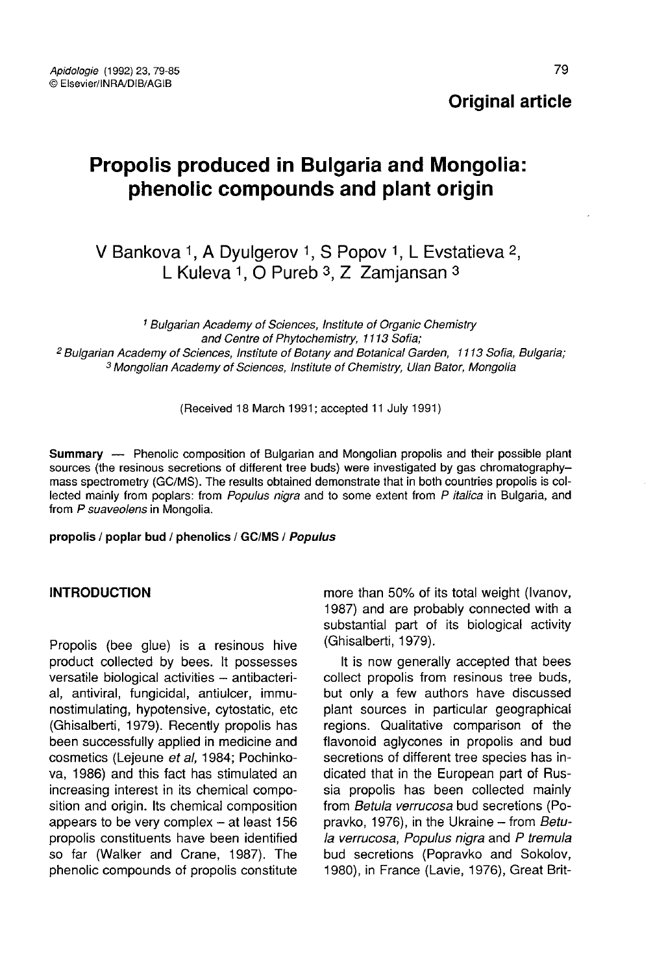**Original article** 

# Propolis produced in Bulgaria and Mongolia: phenolic compounds and plant origin

## V Bankova 1, A Dyulgerov 1, S Popov 1, L Evstatieva 2, L Kuleva  $1.$  O Pureb  $3.$  Z Zamiansan  $3.$

<sup>1</sup> Bulgarian Academy of Sciences, Institute of Organic Chemistry<br>and Centre of Phytochemistry, 1113 Sofia; <sup>2</sup> Bulgarian Academy of Sciences, Institute of Botany and Botanical Garden, 1113 Sofia, Bulgaria; <sup>3</sup> Mongolian Academy of Sciences, Institute of Chemistry, Ulan Bator, Mongolia

(Received 18 March 1991; accepted 11 July 1991)

Summary — Phenolic composition of Bulgarian and Mongolian propolis and their possible plant sources (the resinous secretions of different tree buds) were investigated by gas chromatography mass spectrometry (GC/MS). The results obtained demonstrate that in both countries propolis is collected mainly from poplars: from Populus nigra and to some extent from P italica in Bulgaria, and from P suaveolens in Mongolia.

propolis / poplar bud / phenolics / GC/MS / Populus

## INTRODUCTION

Propolis (bee glue) is a resinous hive product collected by bees. It possesses versatile biological activities - antibacterial, antiviral, fungicidal, antiulcer, immunostimulating, hypotensive, cytostatic, etc (Ghisalberti, 1979). Recently propolis has been successfully applied in medicine and cosmetics (Lejeune et al, 1984; Pochinkova, 1986) and this fact has stimulated an increasing interest in its chemical composition and origin. Its chemical composition appears to be very complex  $-$  at least 156 propolis constituents have been identified so far (Walker and Crane, 1987). The phenolic compounds of propolis constitute more than 50% of its total weight (Ivanov, 1987) and are probably connected with a substantial part of its biological activity (Ghisalberti, 1979).

It is now generally accepted that bees collect propolis from resinous tree buds, but only a few authors have discussed plant sources in particular geographical regions. Qualitative comparison of the flavonoid aglycones in propolis and bud secretions of different tree species has indicated that in the European part of Russia propolis has been collected mainly from Betula verrucosa bud secretions (Popravko, 1976), in the Ukraine - from Betula verrucosa, Populus nigra and P tremula bud secretions (Popravko and Sokolov, 1980), in France (Lavie, 1976), Great Brit-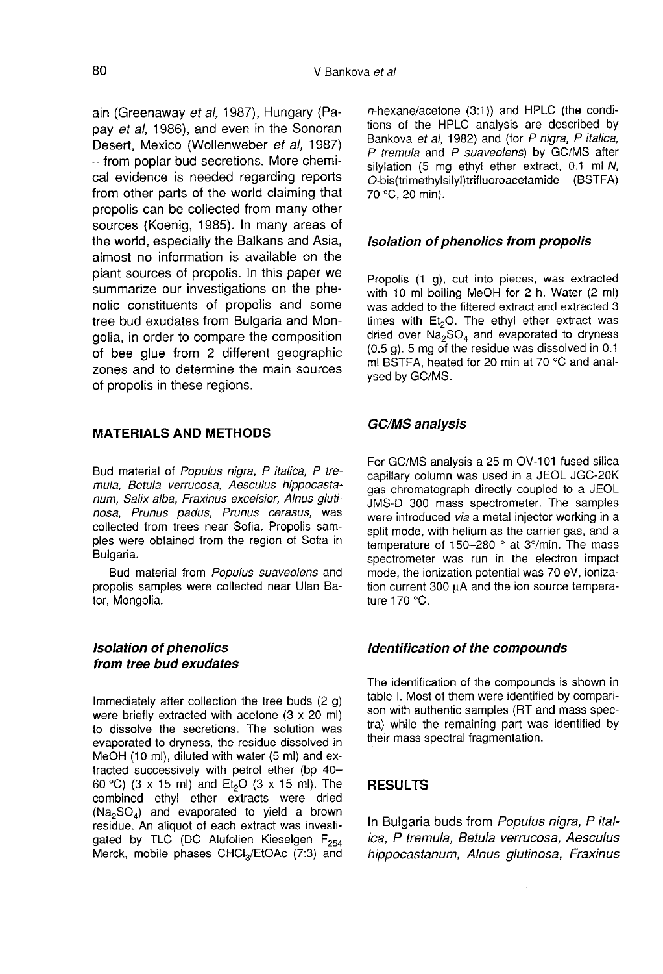ain (Greenaway et al, 1987), Hungary (Papay et al, 1986), and even in the Sonoran<br>Desert. Mexico (Wollenweber et al. 1987) - from poplar bud secretions. More chemical evidence is needed regarding reports from other parts of the world claiming that propolis can be collected from many other sources (Koenig, 1985). In many areas of the world, especially the Balkans and Asia, almost no information is available on the plant sources of propolis. In this paper we summarize our investigations on the phenolic constituents of propolis and some tree bud exudates from Bulgaria and Mongolia, in order to compare the composition of bee glue from 2 different geographic zones and to determine the main sources of propolis in these regions.

#### MATERIALS AND METHODS

Bud material of Populus nigra, P italica, P tremula, Betula verrucosa, Aesculus hippocasta num, Salix alba, Fraxinus excelsior, Alnus gluti nosa, Prunus padus, Prunus cerasus, was collected from trees near Sofia. Propolis samples were obtained from the region of Sofia in Bulgaria.

Bud material from Populus suaveolens and propolis samples were collected near Ulan Bator, Mongolia.

## Isolation of phenolics from tree bud exudates

Immediately after collection the tree buds (2 g) were briefly extracted with acetone (3 x 20 ml) to dissolve the secretions. The solution was evaporated to dryness, the residue dissolved in MeOH (10 ml), diluted with water (5 ml) and extracted successively with petrol ether (bp 40–<br>60 °C) (3 x 15 ml) and Et<sub>2</sub>O (3 x 15 ml). The<br>combined ethyl ether extracts were dried combined ethyl ether extracts were dried Fracted successively with petrol ether (b) 40-<br>tracted successively with petrol ether (bp 40-<br>60 °C) (3 x 15 ml) and Et<sub>2</sub>O (3 x 15 ml). The<br>combined ethyl ether extracts were dried<br>(Na<sub>2</sub>SO<sub>4</sub>) and evaporated to yield a residue. An aliquot of each extract was investigated by TLC (DC Alufolien Kieselgen F<sub>254</sub><br>Merck, mobile phases CHCI<sub>3</sub>/EtOAc (7:3) and Tracted successively with petrol ether (bp 40–60 °C) (3 x 15 ml) and Et<sub>2</sub>O (3 x 15 ml). The combined ethyl ether extracts were dried (Na<sub>2</sub>SO<sub>4</sub>) and evaporated to yield a brown residue. An aliquot of each extract was in

n-hexane/acetone (3:1)) and HPLC (the conditions of the HPLC analysis are described by Bankova et al. 1982) and (for P nigra, P italica, P tremula and P suaveolens) by GC/MS after silvlation (5 mg ethyl ether extract, 0.1 ml N, O-bis(trimethylsilyl)trifluoroacetamide (BSTFA) 70 °C, 20 min).

#### Isolation of phenolics from propolis

Propolis (1 g), cut into pieces, was extracted with 10 ml boiling MeOH for 2 h. Water (2 ml) where to the filtered extract and extracted 3 times with Et<sub>2</sub>O. The ethyl ether extract was<br>times with Et<sub>2</sub>O. The ethyl ether extract was<br>dried over Na<sub>n</sub>SO. and evanorated to dryness times with  $Et_2O$ . The ethyl ether extract was dried over  $Na_2SO_4$  and evaporated to dryness (0.5 g). 5 mg of the residue was dissolved in 0.1 ml BSTFA, heated for 20 min at 70 °C and analysed by GC/MS.

#### GC/MS analysis

For GC/MS analysis a 25 m OV-101 fused silica capillary column was used in a JEOL JGC-20K gas chromatograph directly coupled to a JEOL JMS-D 300 mass spectrometer. The samples were introduced via a metal injector working in a split mode, with helium as the carrier gas, and a temperature of 150-280 ° at 3°/min. The mass spectrometer was run in the electron impact mode, the ionization potential was 70 eV, ionization current 300 μA and the ion source tempera ture 170 °C.

#### Identification of the compounds

The identification of the compounds is shown in table I. Most of them were identified by compari son with authentic samples (RT and mass spectra) while the remaining part was identified by their mass spectral fragmentation.

#### RESULTS

In Bulgaria buds from Populus nigra, P italica, P tremula, Betula verrucosa, Aesculus hippocastanum, Alnus glutinosa, Fraxinus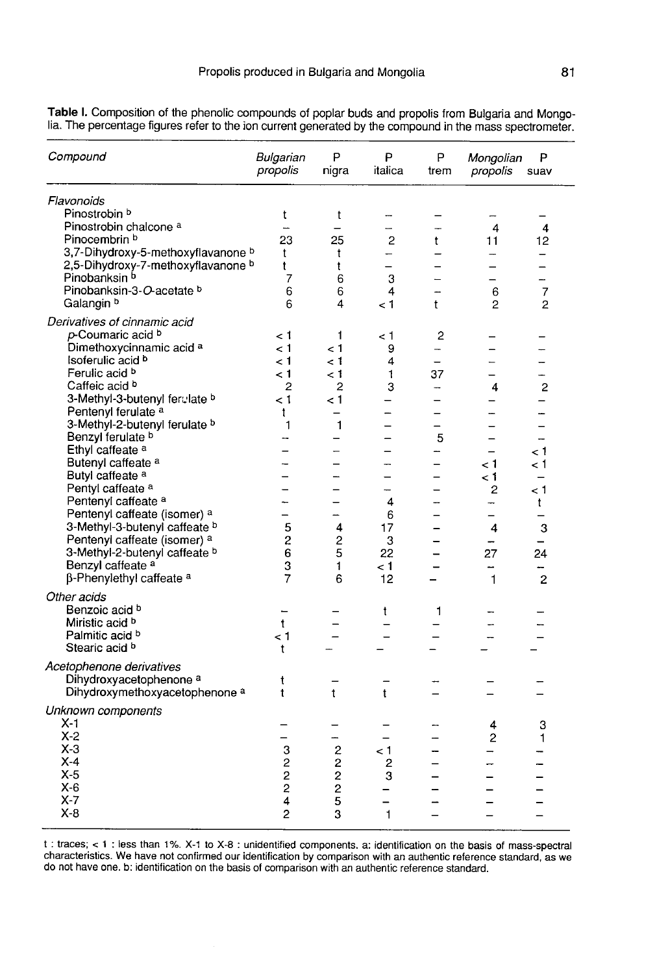| Compound                                  | Bulgarian<br>propolis    | P<br>nigra               | P<br>italica             | P<br>trem                | Mongolian<br>propolis    | P<br>suav                |
|-------------------------------------------|--------------------------|--------------------------|--------------------------|--------------------------|--------------------------|--------------------------|
| Flavonoids                                |                          |                          |                          |                          |                          |                          |
| Pinostrobin b                             | t                        | t                        | -                        |                          |                          |                          |
| Pinostrobin chalcone a                    | $\overline{\phantom{a}}$ |                          | —                        |                          | $\overline{4}$           | 4                        |
| Pinocembrin <sup>b</sup>                  | 23                       | 25                       | 2                        | t                        | 11                       | 12                       |
| 3,7-Dihydroxy-5-methoxyflavanone b        | t                        | t                        | -                        |                          |                          |                          |
| 2,5-Dihydroxy-7-methoxyflavanone b        | t                        | t                        | $\overline{\phantom{0}}$ |                          |                          | $\overline{\phantom{0}}$ |
| Pinobanksin b                             | 7                        | 6                        | 3                        |                          | $\overline{\phantom{0}}$ |                          |
| Pinobanksin-3-O-acetate b                 | 6                        | 6                        | 4                        |                          | 6                        | $\overline{7}$           |
| Galangin <sup>b</sup>                     | 6                        | 4                        | 1 >                      | t                        | $\overline{c}$           | 2                        |
| Derivatives of cinnamic acid              |                          |                          |                          |                          |                          |                          |
| p-Coumaric acid b                         | < 1                      | 1                        | ا >                      | 2                        |                          |                          |
| Dimethoxycinnamic acid a                  | ا >                      | $\leq 1$                 | 9                        | $\overline{\phantom{a}}$ |                          |                          |
| Isoferulic acid b                         | < 1                      | < 1                      | 4                        |                          |                          |                          |
| Ferulic acid b                            | $\lt 1$                  | - 1                      | 1                        | 37                       |                          | L.                       |
| Caffeic acid b                            | 2                        | $\overline{2}$           | 3                        | -                        | 4                        | $\overline{c}$           |
| 3-Methyl-3-butenyl ferulate b             | < 1                      | 1 >                      |                          | -                        |                          | —                        |
| Pentenyl ferulate <sup>a</sup>            | t                        |                          |                          | $\overline{\phantom{0}}$ | —<br>—                   |                          |
|                                           | 1                        | $\mathbf{1}$             |                          |                          |                          |                          |
| 3-Methyl-2-butenyl ferulate b             | --                       |                          |                          |                          |                          |                          |
| Benzyl ferulate b                         |                          |                          |                          | 5                        | $\overline{\phantom{0}}$ | $\overline{\phantom{0}}$ |
| Ethyl caffeate <sup>a</sup>               |                          | -                        |                          | -                        |                          | $\lt 1$                  |
| Butenyl caffeate a                        | -                        |                          | -                        | —                        | 1 >                      | ا >                      |
| Butyl caffeate <sup>a</sup>               |                          |                          |                          | -                        | 1 >                      | $\overline{\phantom{0}}$ |
| Pentyl caffeate <sup>a</sup>              |                          |                          |                          |                          | 2                        | 1 >                      |
| Pentenyl caffeate a                       | -                        | $\overline{\phantom{0}}$ | 4                        | -                        | $\rightarrow$            | t                        |
| Pentenyl caffeate (isomer) a              | —                        |                          | 6                        |                          |                          |                          |
| 3-Methyl-3-butenyl caffeate b             | 5                        | 4                        | 17                       |                          | 4                        | 3                        |
| Pentenyl caffeate (isomer) a              | $\overline{c}$           | $\overline{c}$           | 3                        |                          | $\overline{\phantom{0}}$ | $\equiv$                 |
| 3-Methyl-2-butenyl caffeate b             | 6                        | 5                        | 22                       |                          | 27                       | 24                       |
| Benzyl caffeate <sup>a</sup>              | 3                        | 1                        | ا >                      |                          |                          |                          |
| $\beta$ -Phenylethyl caffeate $a$         | 7                        | 6                        | 12                       |                          | $\mathbf{1}$             | $\overline{c}$           |
| Other acids                               |                          |                          |                          |                          |                          |                          |
| Benzoic acid b                            |                          |                          |                          |                          |                          |                          |
| Miristic acid b                           | $\mathbf t$              |                          | t                        | 1                        |                          |                          |
| Palmitic acid b                           |                          |                          |                          |                          |                          |                          |
| Stearic acid b                            | ا >                      |                          |                          | $\overline{\phantom{0}}$ |                          |                          |
|                                           | t                        |                          |                          |                          |                          |                          |
| Acetophenone derivatives                  |                          |                          |                          |                          |                          |                          |
| Dihydroxyacetophenone <sup>a</sup>        | t                        |                          |                          |                          |                          |                          |
| Dihydroxymethoxyacetophenone <sup>a</sup> | t                        | t                        | t                        |                          |                          |                          |
| Unknown components                        |                          |                          |                          |                          |                          |                          |
| X-1                                       |                          |                          |                          |                          |                          |                          |
| $X-2$                                     |                          |                          |                          |                          | 4                        | 3                        |
| X-3                                       |                          | -                        |                          |                          | 2                        | 1                        |
| $X-4$                                     | 3                        | $\overline{\mathbf{c}}$  | 1 >                      |                          |                          |                          |
|                                           | $\overline{c}$           | $\overline{\mathbf{c}}$  | 2                        |                          |                          |                          |
| $X-5$                                     | $\overline{c}$           | $\overline{\mathbf{c}}$  | 3                        |                          |                          |                          |
| $X-6$                                     | $\overline{c}$           | $\overline{c}$           |                          |                          |                          |                          |
| X-7                                       | $\overline{\mathbf{4}}$  | 5                        | $\overline{\phantom{0}}$ |                          |                          |                          |
| $X-8$                                     | $\overline{c}$           | 3                        | $\mathbf{1}$             | $\overline{\phantom{0}}$ |                          |                          |

Table I. Composition of the phenolic compounds of poplar buds and propolis from Bulgaria and Mongolia. The percentage figures refer to the ion current generated by the compound in the mass spectrometer.

t: traces; < 1: less than 1%. X-1 to X-8: unidentified components. a: identification on the basis of mass-spectral characteristics. We have not confirmed our identification by comparison with an authentic reference standard, as we do not have one. b: identification on the basis of comparison with an authentic reference standard.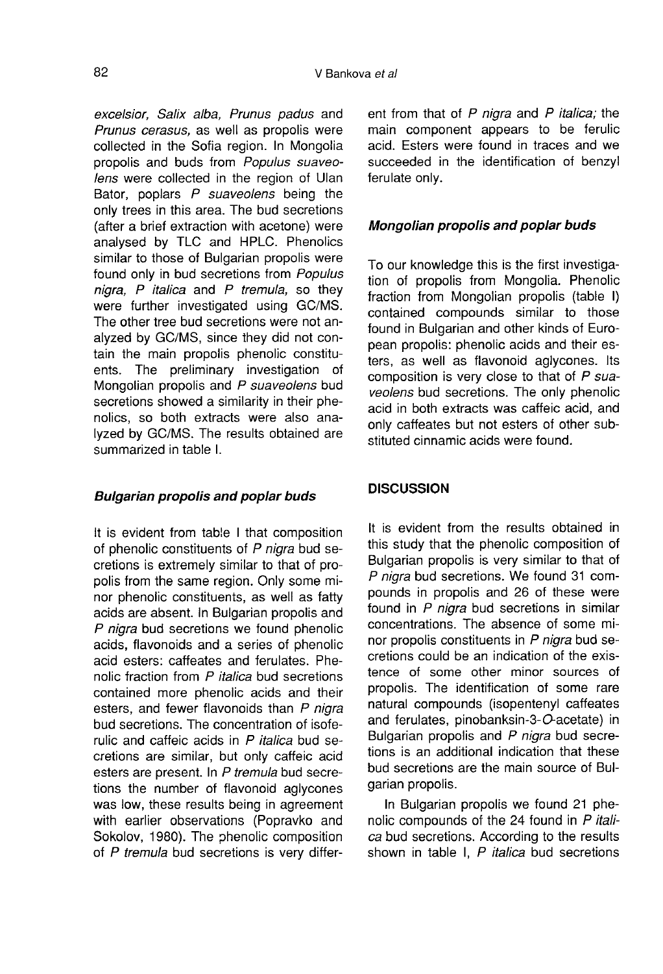excelsior, Salix alba, Prunus padus and Prunus cerasus, as well as propolis were collected in the Sofia region. In Mongolia propolis and buds from Populus suaveolens were collected in the region of Ulan Bator, poplars  $P$  suaveolens being the only trees in this area. The bud secretions (after a brief extraction with acetone) were analysed by TLC and HPLC. Phenolics similar to those of Bulgarian propolis were found only in bud secretions from Populus nigra,  $P$  italica and  $P$  tremula, so they were further investigated using GC/MS. The other tree bud secretions were not analyzed by GC/MS, since they did not contain the main propolis phenolic constituents. The preliminary investigation of Mongolian propolis and P suaveolens bud secretions showed a similarity in their phenolics, so both extracts were also analyzed by GC/MS. The results obtained are summarized in table I.

## Bulgarian propolis and poplar buds

It is evident from table I that composition of phenolic constituents of P nigra bud secretions is extremely similar to that of propolis from the same region. Only some minor phenolic constituents, as well as fatty acids are absent. In Bulgarian propolis and P nigra bud secretions we found phenolic acids, flavonoids and a series of phenolic acid esters: caffeates and ferulates. Phenolic fraction from P italica bud secretions contained more phenolic acids and their esters, and fewer flavonoids than P niara bud secretions. The concentration of isoferulic and caffeic acids in  $P$  *italica* bud secretions are similar, but only caffeic acid esters are present. In P tremula bud secretions the number of flavonoid aglycones was low, these results being in agreement with earlier observations (Popravko and Sokolov, 1980). The phenolic composition of P tremula bud secretions is very different from that of P nigra and P italica; the main component appears to be ferulic acid. Esters were found in traces and we succeeded in the identification of benzyl ferulate only.

## Mongolian propolis and poplar buds

To our knowledge this is the first investigation of propolis from Mongolia. Phenolic fraction from Mongolian propolis (table I) contained compounds similar to those found in Bulgarian and other kinds of European propolis: phenolic acids and their esters, as well as flavonoid aglycones. Its composition is very close to that of  $P$  suaveolens bud secretions. The only phenolic acid in both extracts was caffeic acid, and only caffeates but not esters of other substituted cinnamic acids were found.

## DISCUSSION

It is evident from the results obtained in this study that the phenolic composition of Bulgarian propolis is very similar to that of P nigra bud secretions. We found 31 compounds in propolis and 26 of these were found in  $P$  nigra bud secretions in similar concentrations. The absence of some minor propolis constituents in P nigra bud secretions could be an indication of the existence of some other minor sources of propolis. The identification of some rare natural compounds (isopentenyl caffeates and ferulates, pinobanksin-3-O-acetate) in Bulgarian propolis and  $P$  nigra bud secretions is an additional indication that these bud secretions are the main source of Bulgarian propolis.

In Bulgarian propolis we found 21 phenolic compounds of the 24 found in P italica bud secretions. According to the results shown in table I, P *italica* bud secretions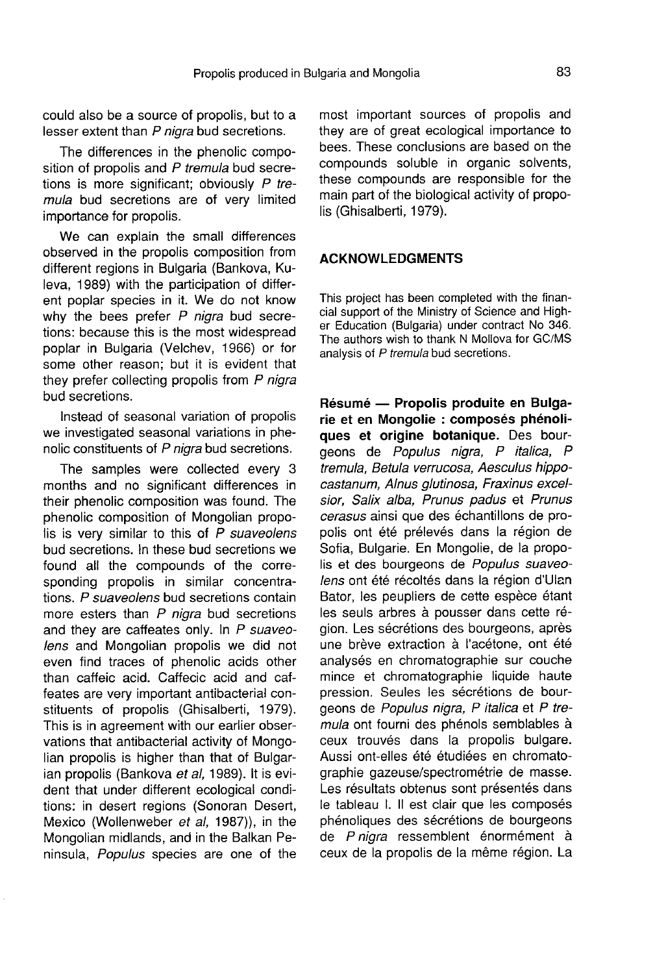could also be a source of propolis, but to a lesser extent than P nigra bud secretions.

The differences in the phenolic composition of propolis and  $P$  tremula bud secretions is more significant; obviously  $P$  tremula bud secretions are of very limited importance for propolis.

We can explain the small differences observed in the propolis composition from different regions in Bulgaria (Bankova, Kuleva, 1989) with the participation of different poplar species in it. We do not know why the bees prefer  $P$  nigra bud secretions: because this is the most widespread poplar in Bulgaria (Velchev, 1966) or for some other reason; but it is evident that they prefer collecting propolis from  $P$  nigra bud secretions.

Instead of seasonal variation of propolis we investigated seasonal variations in phenolic constituents of P nigra bud secretions.

The samples were collected every 3 months and no significant differences in their phenolic composition was found. The phenolic composition of Mongolian propolis is very similar to this of  $\overline{P}$  suaveolens bud secretions. In these bud secretions we found all the compounds of the corresponding propolis in similar concentrations. P suaveolens bud secretions contain more esters than  $P$  nigra bud secretions and they are caffeates only. In P suaveolens and Mongolian propolis we did not even find traces of phenolic acids other than caffeic acid. Caffecic acid and caffeates are very important antibacterial constituents of propolis (Ghisalberti, 1979). This is in agreement with our earlier observations that antibacterial activity of Mongolian propolis is higher than that of Bulgarian propolis (Bankova et al, 1989). It is evident that under different ecological conditions: in desert regions (Sonoran Desert, Mexico (Wollenweber et al, 1987)), in the Mongolian midlands, and in the Balkan Peninsula, Populus species are one of the most important sources of propolis and they are of great ecological importance to bees. These conclusions are based on the compounds soluble in organic solvents, these compounds are responsible for the main part of the biological activity of propolis (Ghisalberti, 1979).

## ACKNOWLEDGMENTS

This project has been completed with the finan-<br>cial support of the Ministry of Science and Higher Education (Bulgaria) under contract No 346. The authors wish to thank N Mollova for GC/MS analysis of P tremula bud secretions.

Résumé — Propolis produite en Bulgarie et en Mongolie : composés phénoliques et origine botanique. Des bourgeons de Populus nigra, P italica, P tremula, Betula verrucosa, Aesculus hippocastanum, Alnus glutinosa, Fraxinus excelsior, Salix alba, Prunus padus et Prunus cerasus ainsi que des échantillons de propolis ont été prélevés dans la région de Sofia, Bulgarie. En Mongolie, de la propolis et des bourgeons de Populus suaveolens ont été récoltés dans la région d'Ulan Bator, les peupliers de cette espèce étant les seuls arbres à pousser dans cette région. Les sécrétions des bourgeons, après une brève extraction à l'acétone, ont été analysés en chromatographie sur couche mince et chromatographie liquide haute pression. Seules les sécrétions de bourgeons de Populus nigra, P italica et P tremula ont fourni des phénols semblables à ceux trouvés dans la propolis bulgare. Aussi ont-elles été étudiées en chromatographie gazeuse/spectrométrie de masse. Les résultats obtenus sont présentés dans le tableau I. Il est clair que les composés phénoliques des sécrétions de bourgeons de P nigra ressemblent énormément à ceux de la propolis de la même région. La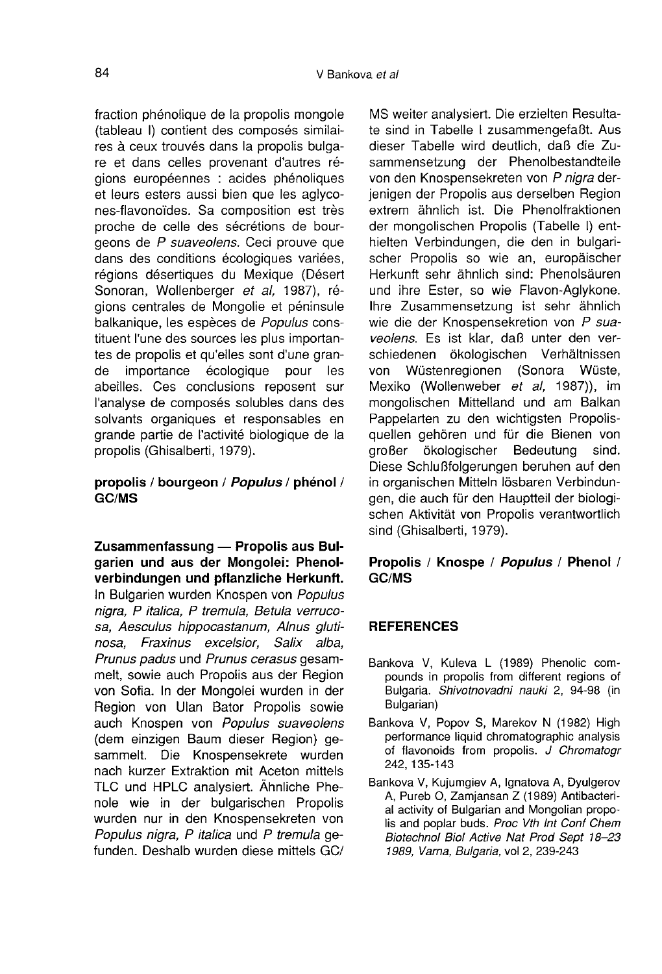fraction phénolique de la propolis mongole (tableau I) contient des composés similaires à ceux trouvés dans la propolis bulga re et dans celles provenant d'autres régions européennes : acides phénoliques et leurs esters aussi bien que les aglycones-flavonoïdes. Sa composition est très proche de celle des sécrétions de bourgeons de P suaveolens. Ceci prouve que dans des conditions écologiques variées, régions désertiques du Mexique (Désert Sonoran, Wollenberger et al, 1987), régions centrales de Mongolie et péninsule balkanique, les espèces de Populus constituent l'une des sources les plus importan tes de propolis et qu'elles sont d'une gran-<br>de importance écologique pour les écologique abeilles. Ces conclusions reposent sur l'analyse de composés solubles dans des solvants organiques et responsables en grande partie de l'activité biologique de la propolis (Ghisalberti, 1979).

## propolis / bourgeon / Populus / phénol / GC/MS

Zusammenfassung — Propolis aus Bulgarien und aus der Mongolei: Phenolverbindungen und pflanzliche Herkunft.

In Bulgarien wurden Knospen von Populus nigra, P italica, P tremula, Betula verrucosa, Aesculus hippocastanum, Alnus gluti nosa, Fraxinus excelsior, Salix alba, Prunus padus und Prunus cerasus gesammelt, sowie auch Propolis aus der Region von Sofia. In der Mongolei wurden in der Region von Ulan Bator Propolis sowie auch Knospen von Populus suaveolens (dem einzigen Baum dieser Region) gesammelt. Die Knospensekrete wurden nach kurzer Extraktion mit Aceton mittels TLC und HPLC analysiert. Ähnliche Phenole wie in der bulgarischen Propolis wurden nur in den Knospensekreten von Populus nigra, P italica und P tremula gefunden. Deshalb wurden diese mittels GC/ MS weiter analysiert. Die erzielten Resultate sind in Tabelle I zusammengefaßt. Aus dieser Tabelle wird deutlich, daß die Zusammensetzung der Phenolbestandteile von den Knospensekreten von P nigra derjenigen der Propolis aus derselben Region extrem ähnlich ist. Die Phenolfraktionen der mongolischen Propolis (Tabelle I) enthielten Verbindungen, die den in bulgarischer Propolis so wie an, europäischer Herkunft sehr ähnlich sind: Phenolsäuren und ihre Ester, so wie Flavon-Aglykone. Ihre Zusammensetzung ist sehr ähnlich wie die der Knospensekretion von P suaveolens. Es ist klar, daß unter den verschiedenen ökologischen Verhältnissen von Wüstenregionen (Sonora Wüste, Mexiko (Wollenweber et al, 1987)), im mongolischen Mittelland und am Balkan Pappelarten zu den wichtigsten Propolisquellen gehören und für die Bienen von<br>aroßer ökologischer Bedeutung sind. ökologischer Diese Schlußfolgerungen beruhen auf den in organischen Mitteln lösbaren Verbindungen, die auch für den Hauptteil der biologischen Aktivität von Propolis verantwortlich sind (Ghisalberti, 1979).

## Propolis / Knospe / Populus / Phenol / GC/MS

## **REFERENCES**

- Bankova V, Kuleva L (1989) Phenolic compounds in propolis from different regions of Bulgaria. Shivotnovadni nauki 2, 94-98 (in Bulgarian)
- Bankova V, Popov S, Marekov N (1982) High performance liquid chromatographic analysis of flavonoids from propolis. J Chromatogr 242, 135-143
- Bankova V, Kujumgiev A, Ignatova A, Dyulgerov A, Pureb O, Zamjansan Z (1989) Antibacterial activity of Bulgarian and Mongolian propolis and poplar buds. Proc Vth Int Conf Chem Biotechnol Biol Active Nat Prod Sept 18-23 1989, Varna, Bulgaria, vol 2, 239-243